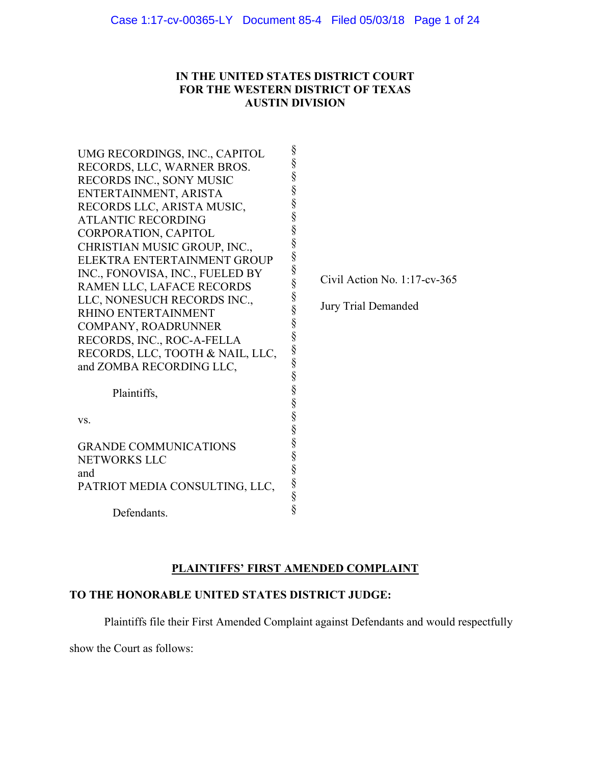# IN THE UNITED STATES DISTRICT COURT FOR THE WESTERN DISTRICT OF TEXAS AUSTIN DIVISION

| UMG RECORDINGS, INC., CAPITOL<br>RECORDS, LLC, WARNER BROS.<br><b>RECORDS INC., SONY MUSIC</b><br>ENTERTAINMENT, ARISTA<br>RECORDS LLC, ARISTA MUSIC,<br><b>ATLANTIC RECORDING</b><br>CORPORATION, CAPITOL<br>CHRISTIAN MUSIC GROUP, INC.,<br>ELEKTRA ENTERTAINMENT GROUP<br>INC., FONOVISA, INC., FUELED BY<br>RAMEN LLC, LAFACE RECORDS<br>LLC, NONESUCH RECORDS INC.,<br>RHINO ENTERTAINMENT<br>COMPANY, ROADRUNNER<br>RECORDS, INC., ROC-A-FELLA<br>RECORDS, LLC, TOOTH & NAIL, LLC,<br>and ZOMBA RECORDING LLC,<br>Plaintiffs,<br>VS. | §<br>§<br>§<br>§<br>§<br>§<br>§<br>§<br>$\S$<br>§<br>Civil Action No. $1:17$ -cv-365<br>§<br>§<br>Jury Trial Demanded<br>§<br>§<br>$\S$<br>S S S S S S S S S S |
|--------------------------------------------------------------------------------------------------------------------------------------------------------------------------------------------------------------------------------------------------------------------------------------------------------------------------------------------------------------------------------------------------------------------------------------------------------------------------------------------------------------------------------------------|----------------------------------------------------------------------------------------------------------------------------------------------------------------|
| <b>GRANDE COMMUNICATIONS</b><br>NETWORKS LLC<br>and<br>PATRIOT MEDIA CONSULTING, LLC,                                                                                                                                                                                                                                                                                                                                                                                                                                                      | §<br>§<br>§<br>§                                                                                                                                               |
| Defendants.                                                                                                                                                                                                                                                                                                                                                                                                                                                                                                                                | §                                                                                                                                                              |

# PLAINTIFFS' FIRST AMENDED COMPLAINT

# TO THE HONORABLE UNITED STATES DISTRICT JUDGE:

Plaintiffs file their First Amended Complaint against Defendants and would respectfully

show the Court as follows: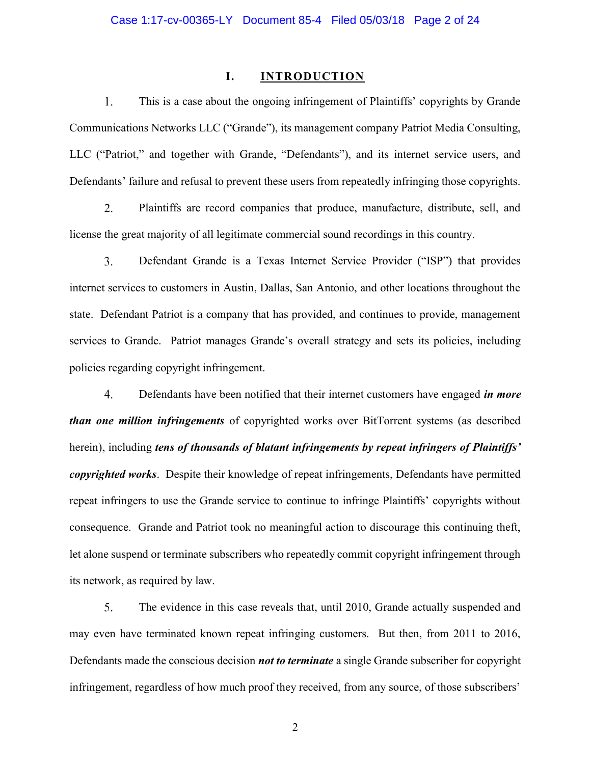#### I. INTRODUCTION

1. This is a case about the ongoing infringement of Plaintiffs' copyrights by Grande Communications Networks LLC ("Grande"), its management company Patriot Media Consulting, LLC ("Patriot," and together with Grande, "Defendants"), and its internet service users, and Defendants' failure and refusal to prevent these users from repeatedly infringing those copyrights.

2. Plaintiffs are record companies that produce, manufacture, distribute, sell, and license the great majority of all legitimate commercial sound recordings in this country.

 $3.$ Defendant Grande is a Texas Internet Service Provider ("ISP") that provides internet services to customers in Austin, Dallas, San Antonio, and other locations throughout the state. Defendant Patriot is a company that has provided, and continues to provide, management services to Grande. Patriot manages Grande's overall strategy and sets its policies, including policies regarding copyright infringement.

 $\overline{4}$ . Defendants have been notified that their internet customers have engaged *in more* than one million infringements of copyrighted works over BitTorrent systems (as described herein), including tens of thousands of blatant infringements by repeat infringers of Plaintiffs' copyrighted works. Despite their knowledge of repeat infringements, Defendants have permitted repeat infringers to use the Grande service to continue to infringe Plaintiffs' copyrights without consequence. Grande and Patriot took no meaningful action to discourage this continuing theft, let alone suspend or terminate subscribers who repeatedly commit copyright infringement through its network, as required by law.

5. The evidence in this case reveals that, until 2010, Grande actually suspended and may even have terminated known repeat infringing customers. But then, from 2011 to 2016, Defendants made the conscious decision **not to terminate** a single Grande subscriber for copyright infringement, regardless of how much proof they received, from any source, of those subscribers'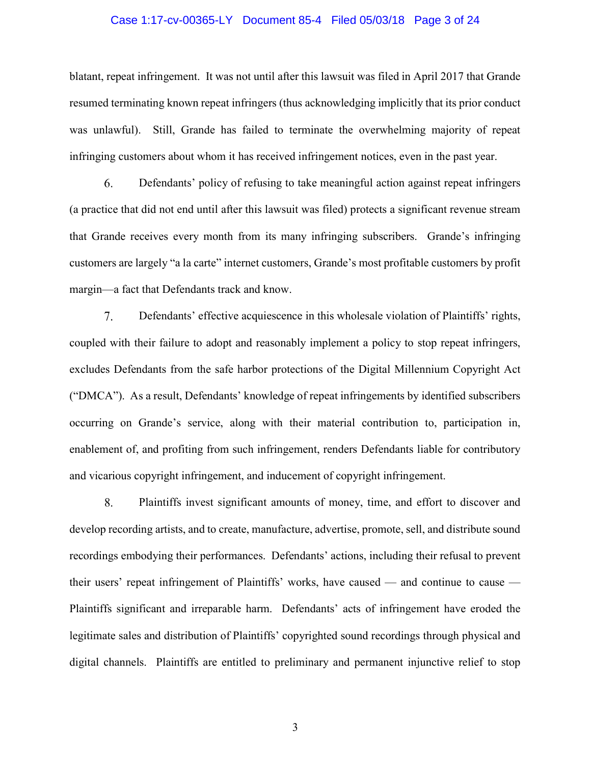#### Case 1:17-cv-00365-LY Document 85-4 Filed 05/03/18 Page 3 of 24

blatant, repeat infringement. It was not until after this lawsuit was filed in April 2017 that Grande resumed terminating known repeat infringers (thus acknowledging implicitly that its prior conduct was unlawful). Still, Grande has failed to terminate the overwhelming majority of repeat infringing customers about whom it has received infringement notices, even in the past year.

6. Defendants' policy of refusing to take meaningful action against repeat infringers (a practice that did not end until after this lawsuit was filed) protects a significant revenue stream that Grande receives every month from its many infringing subscribers. Grande's infringing customers are largely "a la carte" internet customers, Grande's most profitable customers by profit margin—a fact that Defendants track and know.

7. Defendants' effective acquiescence in this wholesale violation of Plaintiffs' rights, coupled with their failure to adopt and reasonably implement a policy to stop repeat infringers, excludes Defendants from the safe harbor protections of the Digital Millennium Copyright Act ("DMCA"). As a result, Defendants' knowledge of repeat infringements by identified subscribers occurring on Grande's service, along with their material contribution to, participation in, enablement of, and profiting from such infringement, renders Defendants liable for contributory and vicarious copyright infringement, and inducement of copyright infringement.

8. Plaintiffs invest significant amounts of money, time, and effort to discover and develop recording artists, and to create, manufacture, advertise, promote, sell, and distribute sound recordings embodying their performances. Defendants' actions, including their refusal to prevent their users' repeat infringement of Plaintiffs' works, have caused — and continue to cause — Plaintiffs significant and irreparable harm. Defendants' acts of infringement have eroded the legitimate sales and distribution of Plaintiffs' copyrighted sound recordings through physical and digital channels. Plaintiffs are entitled to preliminary and permanent injunctive relief to stop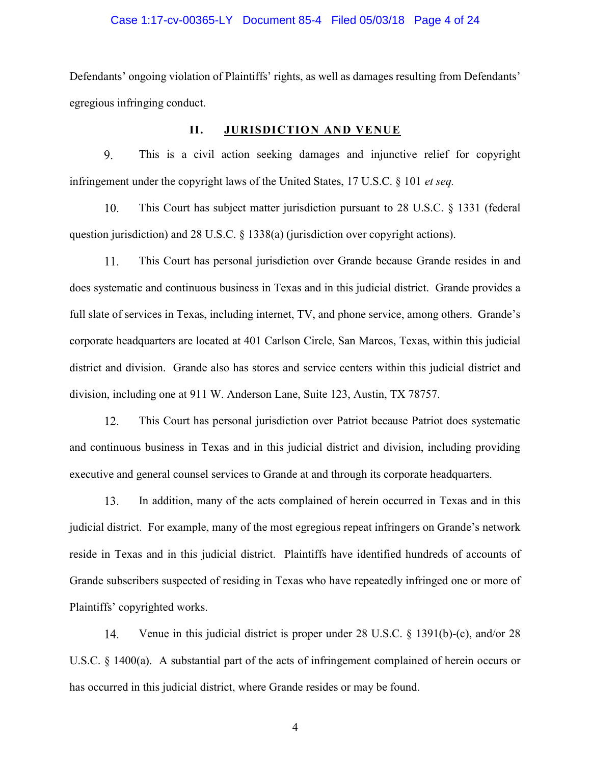#### Case 1:17-cv-00365-LY Document 85-4 Filed 05/03/18 Page 4 of 24

Defendants' ongoing violation of Plaintiffs' rights, as well as damages resulting from Defendants' egregious infringing conduct.

## II. JURISDICTION AND VENUE

9. This is a civil action seeking damages and injunctive relief for copyright infringement under the copyright laws of the United States, 17 U.S.C.  $\S$  101 *et seq.* 

10. This Court has subject matter jurisdiction pursuant to 28 U.S.C. § 1331 (federal question jurisdiction) and 28 U.S.C. § 1338(a) (jurisdiction over copyright actions).

11. This Court has personal jurisdiction over Grande because Grande resides in and does systematic and continuous business in Texas and in this judicial district. Grande provides a full slate of services in Texas, including internet, TV, and phone service, among others. Grande's corporate headquarters are located at 401 Carlson Circle, San Marcos, Texas, within this judicial district and division. Grande also has stores and service centers within this judicial district and division, including one at 911 W. Anderson Lane, Suite 123, Austin, TX 78757.

 $12.$ This Court has personal jurisdiction over Patriot because Patriot does systematic and continuous business in Texas and in this judicial district and division, including providing executive and general counsel services to Grande at and through its corporate headquarters.

13. In addition, many of the acts complained of herein occurred in Texas and in this judicial district. For example, many of the most egregious repeat infringers on Grande's network reside in Texas and in this judicial district. Plaintiffs have identified hundreds of accounts of Grande subscribers suspected of residing in Texas who have repeatedly infringed one or more of Plaintiffs' copyrighted works.

14. Venue in this judicial district is proper under 28 U.S.C. § 1391(b)-(c), and/or 28 U.S.C. § 1400(a). A substantial part of the acts of infringement complained of herein occurs or has occurred in this judicial district, where Grande resides or may be found.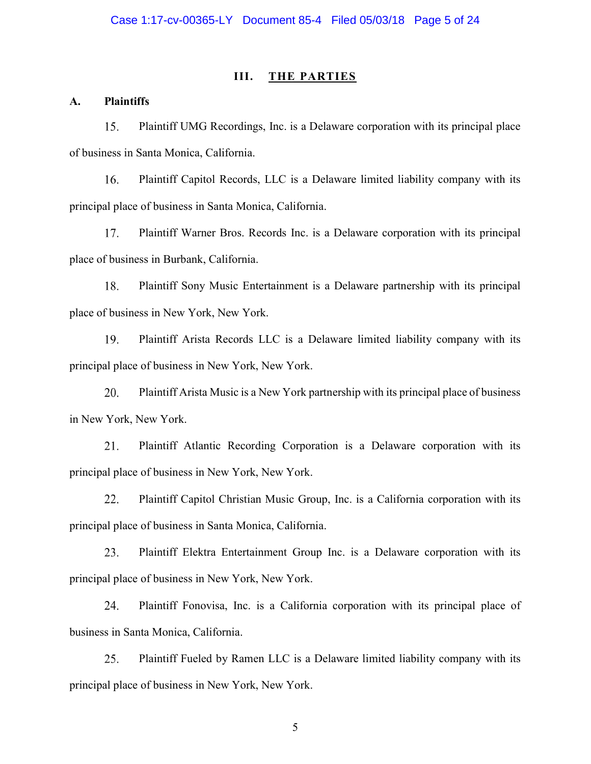#### III. THE PARTIES

## A. Plaintiffs

15. Plaintiff UMG Recordings, Inc. is a Delaware corporation with its principal place of business in Santa Monica, California.

Plaintiff Capitol Records, LLC is a Delaware limited liability company with its 16. principal place of business in Santa Monica, California.

17. Plaintiff Warner Bros. Records Inc. is a Delaware corporation with its principal place of business in Burbank, California.

18. Plaintiff Sony Music Entertainment is a Delaware partnership with its principal place of business in New York, New York.

19. Plaintiff Arista Records LLC is a Delaware limited liability company with its principal place of business in New York, New York.

20. Plaintiff Arista Music is a New York partnership with its principal place of business in New York, New York.

21. Plaintiff Atlantic Recording Corporation is a Delaware corporation with its principal place of business in New York, New York.

22. Plaintiff Capitol Christian Music Group, Inc. is a California corporation with its principal place of business in Santa Monica, California.

Plaintiff Elektra Entertainment Group Inc. is a Delaware corporation with its 23. principal place of business in New York, New York.

24. Plaintiff Fonovisa, Inc. is a California corporation with its principal place of business in Santa Monica, California.

25. Plaintiff Fueled by Ramen LLC is a Delaware limited liability company with its principal place of business in New York, New York.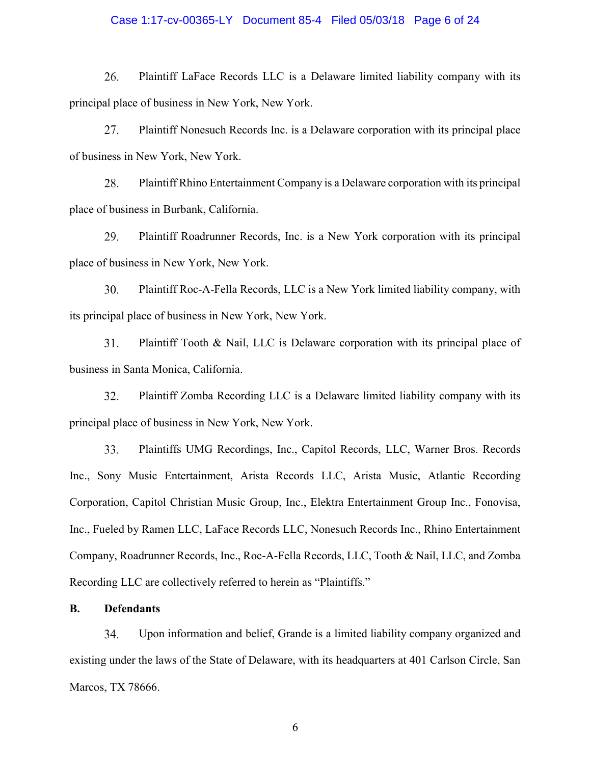#### Case 1:17-cv-00365-LY Document 85-4 Filed 05/03/18 Page 6 of 24

26. Plaintiff LaFace Records LLC is a Delaware limited liability company with its principal place of business in New York, New York.

27. Plaintiff Nonesuch Records Inc. is a Delaware corporation with its principal place of business in New York, New York.

28. Plaintiff Rhino Entertainment Company is a Delaware corporation with its principal place of business in Burbank, California.

29. Plaintiff Roadrunner Records, Inc. is a New York corporation with its principal place of business in New York, New York.

30. Plaintiff Roc-A-Fella Records, LLC is a New York limited liability company, with its principal place of business in New York, New York.

31. Plaintiff Tooth & Nail, LLC is Delaware corporation with its principal place of business in Santa Monica, California.

Plaintiff Zomba Recording LLC is a Delaware limited liability company with its 32. principal place of business in New York, New York.

33. Plaintiffs UMG Recordings, Inc., Capitol Records, LLC, Warner Bros. Records Inc., Sony Music Entertainment, Arista Records LLC, Arista Music, Atlantic Recording Corporation, Capitol Christian Music Group, Inc., Elektra Entertainment Group Inc., Fonovisa, Inc., Fueled by Ramen LLC, LaFace Records LLC, Nonesuch Records Inc., Rhino Entertainment Company, Roadrunner Records, Inc., Roc-A-Fella Records, LLC, Tooth & Nail, LLC, and Zomba Recording LLC are collectively referred to herein as "Plaintiffs."

## B. Defendants

34. Upon information and belief, Grande is a limited liability company organized and existing under the laws of the State of Delaware, with its headquarters at 401 Carlson Circle, San Marcos, TX 78666.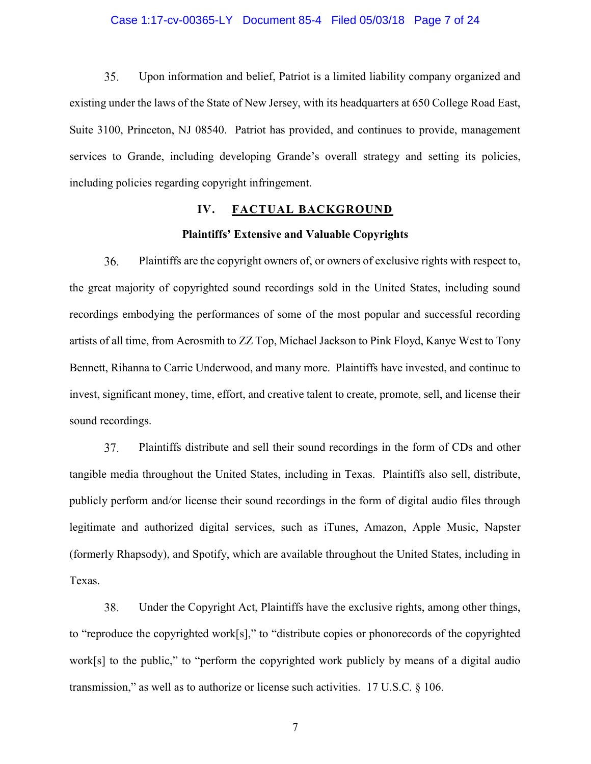#### Case 1:17-cv-00365-LY Document 85-4 Filed 05/03/18 Page 7 of 24

35. Upon information and belief, Patriot is a limited liability company organized and existing under the laws of the State of New Jersey, with its headquarters at 650 College Road East, Suite 3100, Princeton, NJ 08540. Patriot has provided, and continues to provide, management services to Grande, including developing Grande's overall strategy and setting its policies, including policies regarding copyright infringement.

## IV. FACTUAL BACKGROUND

#### Plaintiffs' Extensive and Valuable Copyrights

36. Plaintiffs are the copyright owners of, or owners of exclusive rights with respect to, the great majority of copyrighted sound recordings sold in the United States, including sound recordings embodying the performances of some of the most popular and successful recording artists of all time, from Aerosmith to ZZ Top, Michael Jackson to Pink Floyd, Kanye West to Tony Bennett, Rihanna to Carrie Underwood, and many more. Plaintiffs have invested, and continue to invest, significant money, time, effort, and creative talent to create, promote, sell, and license their sound recordings.

37. Plaintiffs distribute and sell their sound recordings in the form of CDs and other tangible media throughout the United States, including in Texas. Plaintiffs also sell, distribute, publicly perform and/or license their sound recordings in the form of digital audio files through legitimate and authorized digital services, such as iTunes, Amazon, Apple Music, Napster (formerly Rhapsody), and Spotify, which are available throughout the United States, including in Texas.

38. Under the Copyright Act, Plaintiffs have the exclusive rights, among other things, to "reproduce the copyrighted work[s]," to "distribute copies or phonorecords of the copyrighted work[s] to the public," to "perform the copyrighted work publicly by means of a digital audio transmission," as well as to authorize or license such activities. 17 U.S.C. § 106.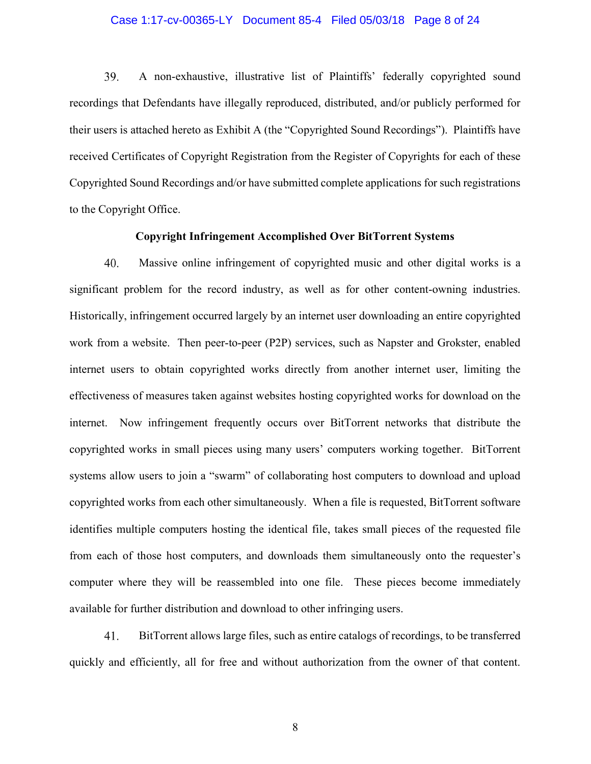#### Case 1:17-cv-00365-LY Document 85-4 Filed 05/03/18 Page 8 of 24

39. A non-exhaustive, illustrative list of Plaintiffs' federally copyrighted sound recordings that Defendants have illegally reproduced, distributed, and/or publicly performed for their users is attached hereto as Exhibit A (the "Copyrighted Sound Recordings"). Plaintiffs have received Certificates of Copyright Registration from the Register of Copyrights for each of these Copyrighted Sound Recordings and/or have submitted complete applications for such registrations to the Copyright Office.

## Copyright Infringement Accomplished Over BitTorrent Systems

40. Massive online infringement of copyrighted music and other digital works is a significant problem for the record industry, as well as for other content-owning industries. Historically, infringement occurred largely by an internet user downloading an entire copyrighted work from a website. Then peer-to-peer (P2P) services, such as Napster and Grokster, enabled internet users to obtain copyrighted works directly from another internet user, limiting the effectiveness of measures taken against websites hosting copyrighted works for download on the internet. Now infringement frequently occurs over BitTorrent networks that distribute the copyrighted works in small pieces using many users' computers working together. BitTorrent systems allow users to join a "swarm" of collaborating host computers to download and upload copyrighted works from each other simultaneously. When a file is requested, BitTorrent software identifies multiple computers hosting the identical file, takes small pieces of the requested file from each of those host computers, and downloads them simultaneously onto the requester's computer where they will be reassembled into one file. These pieces become immediately available for further distribution and download to other infringing users.

41. BitTorrent allows large files, such as entire catalogs of recordings, to be transferred quickly and efficiently, all for free and without authorization from the owner of that content.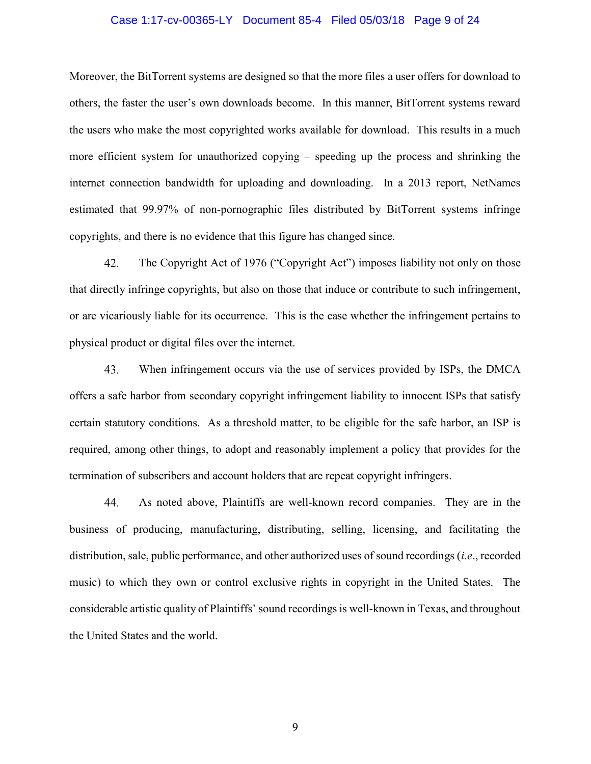#### Case 1:17-cv-00365-LY Document 85-4 Filed 05/03/18 Page 9 of 24

Moreover, the BitTorrent systems are designed so that the more files a user offers for download to others, the faster the user's own downloads become. In this manner, BitTorrent systems reward the users who make the most copyrighted works available for download. This results in a much more efficient system for unauthorized copying – speeding up the process and shrinking the internet connection bandwidth for uploading and downloading. In a 2013 report, NetNames estimated that 99.97% of non-pornographic files distributed by BitTorrent systems infringe copyrights, and there is no evidence that this figure has changed since.

The Copyright Act of 1976 ("Copyright Act") imposes liability not only on those 42. that directly infringe copyrights, but also on those that induce or contribute to such infringement, or are vicariously liable for its occurrence. This is the case whether the infringement pertains to physical product or digital files over the internet.

43. When infringement occurs via the use of services provided by ISPs, the DMCA offers a safe harbor from secondary copyright infringement liability to innocent ISPs that satisfy certain statutory conditions. As a threshold matter, to be eligible for the safe harbor, an ISP is required, among other things, to adopt and reasonably implement a policy that provides for the termination of subscribers and account holders that are repeat copyright infringers.

44. As noted above, Plaintiffs are well-known record companies. They are in the business of producing, manufacturing, distributing, selling, licensing, and facilitating the distribution, sale, public performance, and other authorized uses of sound recordings (i.e., recorded music) to which they own or control exclusive rights in copyright in the United States. The considerable artistic quality of Plaintiffs' sound recordings is well-known in Texas, and throughout the United States and the world.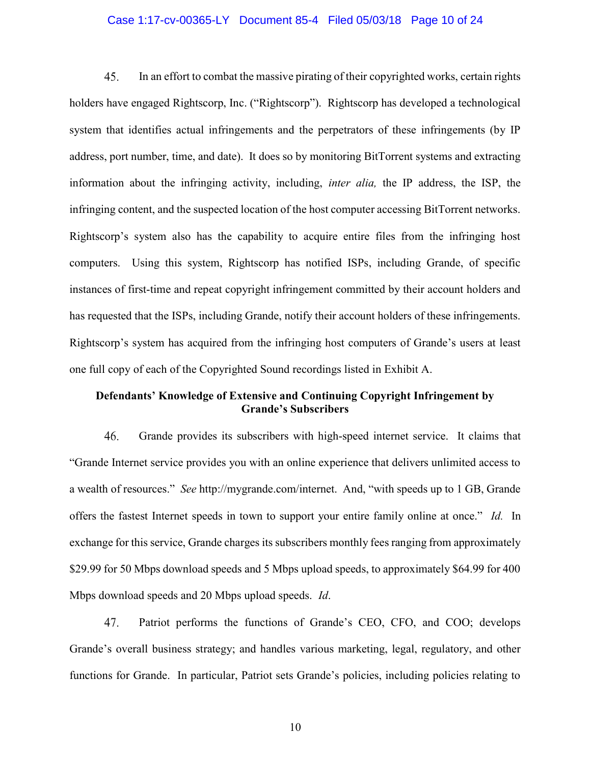#### Case 1:17-cv-00365-LY Document 85-4 Filed 05/03/18 Page 10 of 24

45. In an effort to combat the massive pirating of their copyrighted works, certain rights holders have engaged Rightscorp, Inc. ("Rightscorp"). Rightscorp has developed a technological system that identifies actual infringements and the perpetrators of these infringements (by IP address, port number, time, and date). It does so by monitoring BitTorrent systems and extracting information about the infringing activity, including, inter alia, the IP address, the ISP, the infringing content, and the suspected location of the host computer accessing BitTorrent networks. Rightscorp's system also has the capability to acquire entire files from the infringing host computers. Using this system, Rightscorp has notified ISPs, including Grande, of specific instances of first-time and repeat copyright infringement committed by their account holders and has requested that the ISPs, including Grande, notify their account holders of these infringements. Rightscorp's system has acquired from the infringing host computers of Grande's users at least one full copy of each of the Copyrighted Sound recordings listed in Exhibit A.

## Defendants' Knowledge of Extensive and Continuing Copyright Infringement by Grande's Subscribers

46. Grande provides its subscribers with high-speed internet service. It claims that "Grande Internet service provides you with an online experience that delivers unlimited access to a wealth of resources." See http://mygrande.com/internet. And, "with speeds up to 1 GB, Grande offers the fastest Internet speeds in town to support your entire family online at once." Id. In exchange for this service, Grande charges its subscribers monthly fees ranging from approximately \$29.99 for 50 Mbps download speeds and 5 Mbps upload speeds, to approximately \$64.99 for 400 Mbps download speeds and 20 Mbps upload speeds. Id.

47. Patriot performs the functions of Grande's CEO, CFO, and COO; develops Grande's overall business strategy; and handles various marketing, legal, regulatory, and other functions for Grande. In particular, Patriot sets Grande's policies, including policies relating to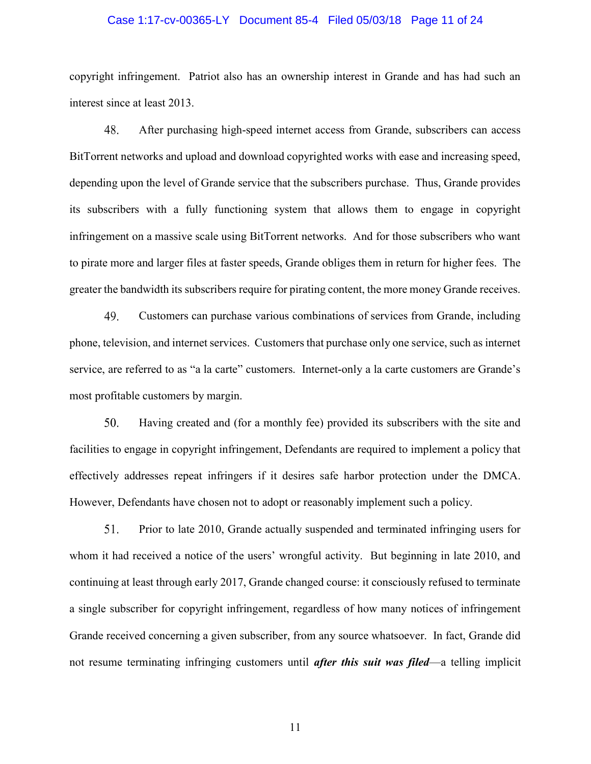#### Case 1:17-cv-00365-LY Document 85-4 Filed 05/03/18 Page 11 of 24

copyright infringement. Patriot also has an ownership interest in Grande and has had such an interest since at least 2013.

48. After purchasing high-speed internet access from Grande, subscribers can access BitTorrent networks and upload and download copyrighted works with ease and increasing speed, depending upon the level of Grande service that the subscribers purchase. Thus, Grande provides its subscribers with a fully functioning system that allows them to engage in copyright infringement on a massive scale using BitTorrent networks. And for those subscribers who want to pirate more and larger files at faster speeds, Grande obliges them in return for higher fees. The greater the bandwidth its subscribers require for pirating content, the more money Grande receives.

49. Customers can purchase various combinations of services from Grande, including phone, television, and internet services. Customers that purchase only one service, such as internet service, are referred to as "a la carte" customers. Internet-only a la carte customers are Grande's most profitable customers by margin.

50. Having created and (for a monthly fee) provided its subscribers with the site and facilities to engage in copyright infringement, Defendants are required to implement a policy that effectively addresses repeat infringers if it desires safe harbor protection under the DMCA. However, Defendants have chosen not to adopt or reasonably implement such a policy.

51. Prior to late 2010, Grande actually suspended and terminated infringing users for whom it had received a notice of the users' wrongful activity. But beginning in late 2010, and continuing at least through early 2017, Grande changed course: it consciously refused to terminate a single subscriber for copyright infringement, regardless of how many notices of infringement Grande received concerning a given subscriber, from any source whatsoever. In fact, Grande did not resume terminating infringing customers until *after this suit was filed*—a telling implicit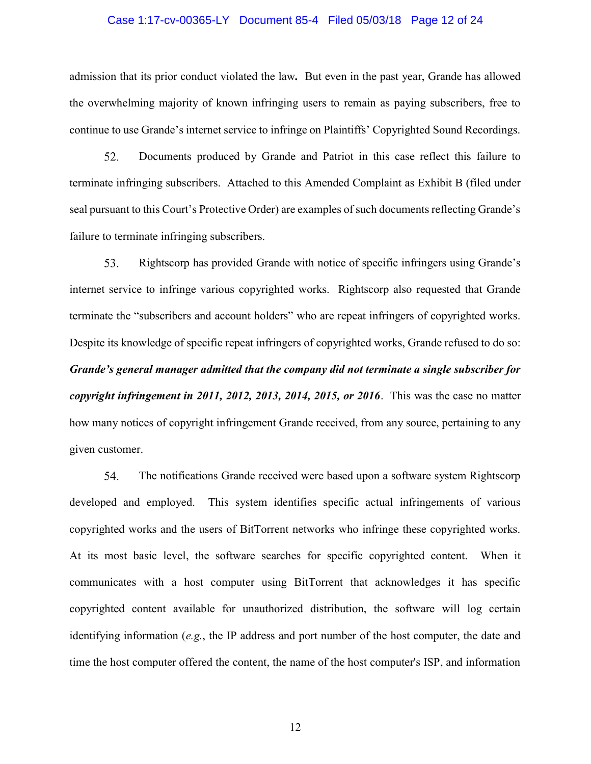#### Case 1:17-cv-00365-LY Document 85-4 Filed 05/03/18 Page 12 of 24

admission that its prior conduct violated the law. But even in the past year, Grande has allowed the overwhelming majority of known infringing users to remain as paying subscribers, free to continue to use Grande's internet service to infringe on Plaintiffs' Copyrighted Sound Recordings.

52. Documents produced by Grande and Patriot in this case reflect this failure to terminate infringing subscribers. Attached to this Amended Complaint as Exhibit B (filed under seal pursuant to this Court's Protective Order) are examples of such documents reflecting Grande's failure to terminate infringing subscribers.

Rightscorp has provided Grande with notice of specific infringers using Grande's 53. internet service to infringe various copyrighted works. Rightscorp also requested that Grande terminate the "subscribers and account holders" who are repeat infringers of copyrighted works. Despite its knowledge of specific repeat infringers of copyrighted works, Grande refused to do so: Grande's general manager admitted that the company did not terminate a single subscriber for copyright infringement in 2011, 2012, 2013, 2014, 2015, or 2016. This was the case no matter how many notices of copyright infringement Grande received, from any source, pertaining to any given customer.

54. The notifications Grande received were based upon a software system Rightscorp developed and employed. This system identifies specific actual infringements of various copyrighted works and the users of BitTorrent networks who infringe these copyrighted works. At its most basic level, the software searches for specific copyrighted content. When it communicates with a host computer using BitTorrent that acknowledges it has specific copyrighted content available for unauthorized distribution, the software will log certain identifying information (e.g., the IP address and port number of the host computer, the date and time the host computer offered the content, the name of the host computer's ISP, and information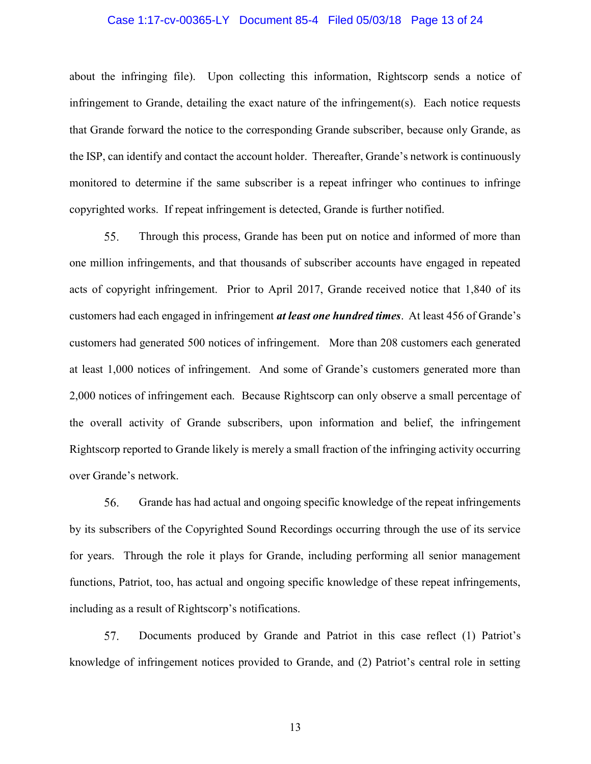## Case 1:17-cv-00365-LY Document 85-4 Filed 05/03/18 Page 13 of 24

about the infringing file). Upon collecting this information, Rightscorp sends a notice of infringement to Grande, detailing the exact nature of the infringement(s). Each notice requests that Grande forward the notice to the corresponding Grande subscriber, because only Grande, as the ISP, can identify and contact the account holder. Thereafter, Grande's network is continuously monitored to determine if the same subscriber is a repeat infringer who continues to infringe copyrighted works. If repeat infringement is detected, Grande is further notified.

55. Through this process, Grande has been put on notice and informed of more than one million infringements, and that thousands of subscriber accounts have engaged in repeated acts of copyright infringement. Prior to April 2017, Grande received notice that 1,840 of its customers had each engaged in infringement at least one hundred times. At least 456 of Grande's customers had generated 500 notices of infringement. More than 208 customers each generated at least 1,000 notices of infringement. And some of Grande's customers generated more than 2,000 notices of infringement each. Because Rightscorp can only observe a small percentage of the overall activity of Grande subscribers, upon information and belief, the infringement Rightscorp reported to Grande likely is merely a small fraction of the infringing activity occurring over Grande's network.

56. Grande has had actual and ongoing specific knowledge of the repeat infringements by its subscribers of the Copyrighted Sound Recordings occurring through the use of its service for years. Through the role it plays for Grande, including performing all senior management functions, Patriot, too, has actual and ongoing specific knowledge of these repeat infringements, including as a result of Rightscorp's notifications.

57. Documents produced by Grande and Patriot in this case reflect (1) Patriot's knowledge of infringement notices provided to Grande, and (2) Patriot's central role in setting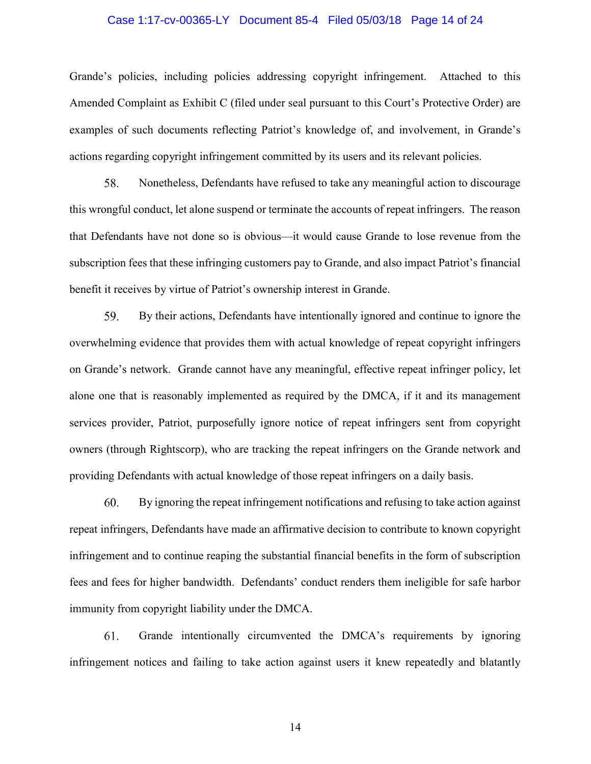#### Case 1:17-cv-00365-LY Document 85-4 Filed 05/03/18 Page 14 of 24

Grande's policies, including policies addressing copyright infringement. Attached to this Amended Complaint as Exhibit C (filed under seal pursuant to this Court's Protective Order) are examples of such documents reflecting Patriot's knowledge of, and involvement, in Grande's actions regarding copyright infringement committed by its users and its relevant policies.

58. Nonetheless, Defendants have refused to take any meaningful action to discourage this wrongful conduct, let alone suspend or terminate the accounts of repeat infringers. The reason that Defendants have not done so is obvious—it would cause Grande to lose revenue from the subscription fees that these infringing customers pay to Grande, and also impact Patriot's financial benefit it receives by virtue of Patriot's ownership interest in Grande.

59. By their actions, Defendants have intentionally ignored and continue to ignore the overwhelming evidence that provides them with actual knowledge of repeat copyright infringers on Grande's network. Grande cannot have any meaningful, effective repeat infringer policy, let alone one that is reasonably implemented as required by the DMCA, if it and its management services provider, Patriot, purposefully ignore notice of repeat infringers sent from copyright owners (through Rightscorp), who are tracking the repeat infringers on the Grande network and providing Defendants with actual knowledge of those repeat infringers on a daily basis.

60. By ignoring the repeat infringement notifications and refusing to take action against repeat infringers, Defendants have made an affirmative decision to contribute to known copyright infringement and to continue reaping the substantial financial benefits in the form of subscription fees and fees for higher bandwidth. Defendants' conduct renders them ineligible for safe harbor immunity from copyright liability under the DMCA.

61. Grande intentionally circumvented the DMCA's requirements by ignoring infringement notices and failing to take action against users it knew repeatedly and blatantly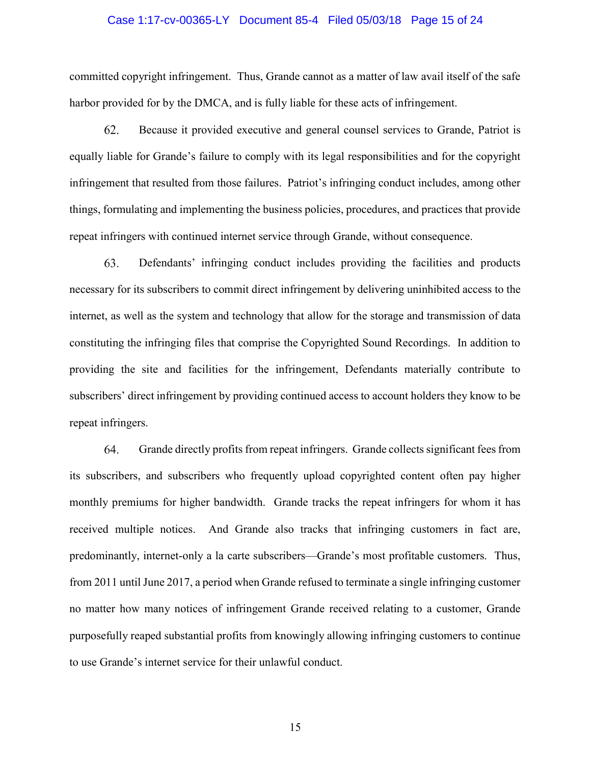#### Case 1:17-cv-00365-LY Document 85-4 Filed 05/03/18 Page 15 of 24

committed copyright infringement. Thus, Grande cannot as a matter of law avail itself of the safe harbor provided for by the DMCA, and is fully liable for these acts of infringement.

62. Because it provided executive and general counsel services to Grande, Patriot is equally liable for Grande's failure to comply with its legal responsibilities and for the copyright infringement that resulted from those failures. Patriot's infringing conduct includes, among other things, formulating and implementing the business policies, procedures, and practices that provide repeat infringers with continued internet service through Grande, without consequence.

Defendants' infringing conduct includes providing the facilities and products 63. necessary for its subscribers to commit direct infringement by delivering uninhibited access to the internet, as well as the system and technology that allow for the storage and transmission of data constituting the infringing files that comprise the Copyrighted Sound Recordings. In addition to providing the site and facilities for the infringement, Defendants materially contribute to subscribers' direct infringement by providing continued access to account holders they know to be repeat infringers.

64. Grande directly profits from repeat infringers. Grande collects significant fees from its subscribers, and subscribers who frequently upload copyrighted content often pay higher monthly premiums for higher bandwidth. Grande tracks the repeat infringers for whom it has received multiple notices. And Grande also tracks that infringing customers in fact are, predominantly, internet-only a la carte subscribers—Grande's most profitable customers. Thus, from 2011 until June 2017, a period when Grande refused to terminate a single infringing customer no matter how many notices of infringement Grande received relating to a customer, Grande purposefully reaped substantial profits from knowingly allowing infringing customers to continue to use Grande's internet service for their unlawful conduct.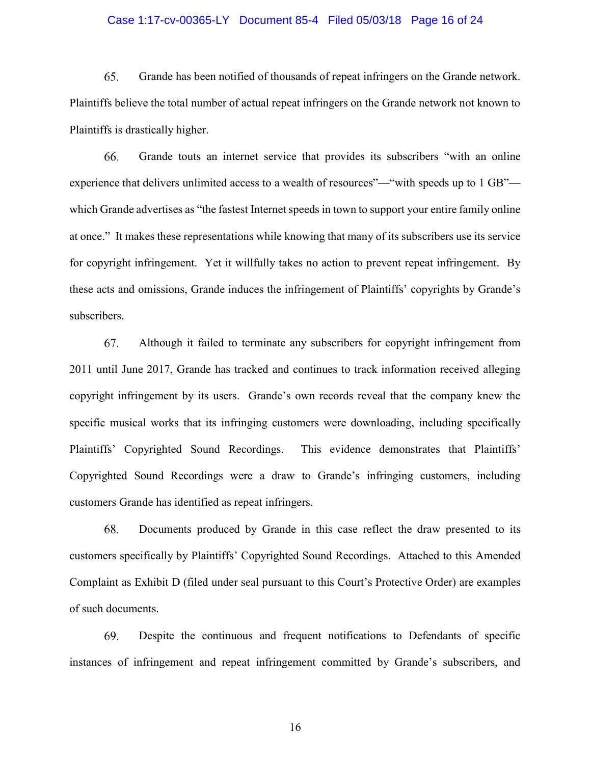#### Case 1:17-cv-00365-LY Document 85-4 Filed 05/03/18 Page 16 of 24

65. Grande has been notified of thousands of repeat infringers on the Grande network. Plaintiffs believe the total number of actual repeat infringers on the Grande network not known to Plaintiffs is drastically higher.

66. Grande touts an internet service that provides its subscribers "with an online experience that delivers unlimited access to a wealth of resources"—"with speeds up to 1 GB" which Grande advertises as "the fastest Internet speeds in town to support your entire family online at once." It makes these representations while knowing that many of its subscribers use its service for copyright infringement. Yet it willfully takes no action to prevent repeat infringement. By these acts and omissions, Grande induces the infringement of Plaintiffs' copyrights by Grande's subscribers.

67. Although it failed to terminate any subscribers for copyright infringement from 2011 until June 2017, Grande has tracked and continues to track information received alleging copyright infringement by its users. Grande's own records reveal that the company knew the specific musical works that its infringing customers were downloading, including specifically Plaintiffs' Copyrighted Sound Recordings. This evidence demonstrates that Plaintiffs' Copyrighted Sound Recordings were a draw to Grande's infringing customers, including customers Grande has identified as repeat infringers.

68. Documents produced by Grande in this case reflect the draw presented to its customers specifically by Plaintiffs' Copyrighted Sound Recordings. Attached to this Amended Complaint as Exhibit D (filed under seal pursuant to this Court's Protective Order) are examples of such documents.

69. Despite the continuous and frequent notifications to Defendants of specific instances of infringement and repeat infringement committed by Grande's subscribers, and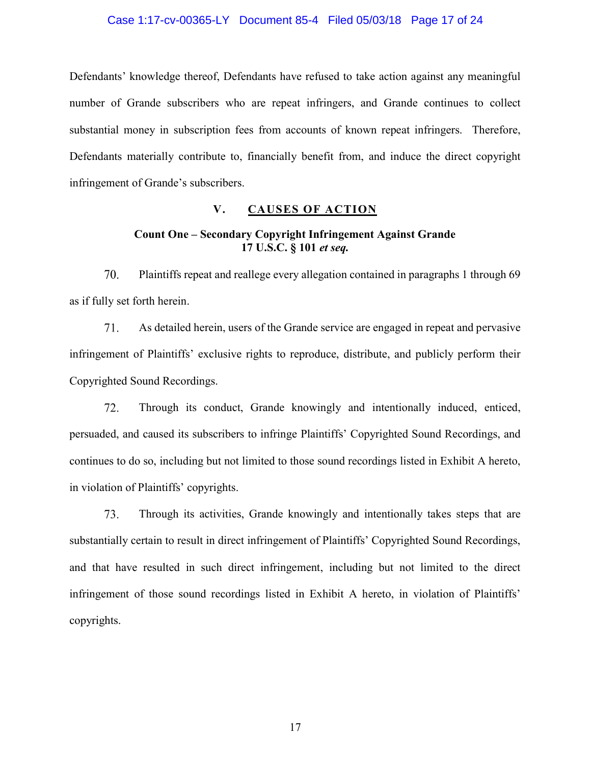#### Case 1:17-cv-00365-LY Document 85-4 Filed 05/03/18 Page 17 of 24

Defendants' knowledge thereof, Defendants have refused to take action against any meaningful number of Grande subscribers who are repeat infringers, and Grande continues to collect substantial money in subscription fees from accounts of known repeat infringers. Therefore, Defendants materially contribute to, financially benefit from, and induce the direct copyright infringement of Grande's subscribers.

## V. CAUSES OF ACTION

## Count One – Secondary Copyright Infringement Against Grande 17 U.S.C. § 101 et seq.

Plaintiffs repeat and reallege every allegation contained in paragraphs 1 through 69 70. as if fully set forth herein.

71. As detailed herein, users of the Grande service are engaged in repeat and pervasive infringement of Plaintiffs' exclusive rights to reproduce, distribute, and publicly perform their Copyrighted Sound Recordings.

Through its conduct, Grande knowingly and intentionally induced, enticed, 72. persuaded, and caused its subscribers to infringe Plaintiffs' Copyrighted Sound Recordings, and continues to do so, including but not limited to those sound recordings listed in Exhibit A hereto, in violation of Plaintiffs' copyrights.

73. Through its activities, Grande knowingly and intentionally takes steps that are substantially certain to result in direct infringement of Plaintiffs' Copyrighted Sound Recordings, and that have resulted in such direct infringement, including but not limited to the direct infringement of those sound recordings listed in Exhibit A hereto, in violation of Plaintiffs' copyrights.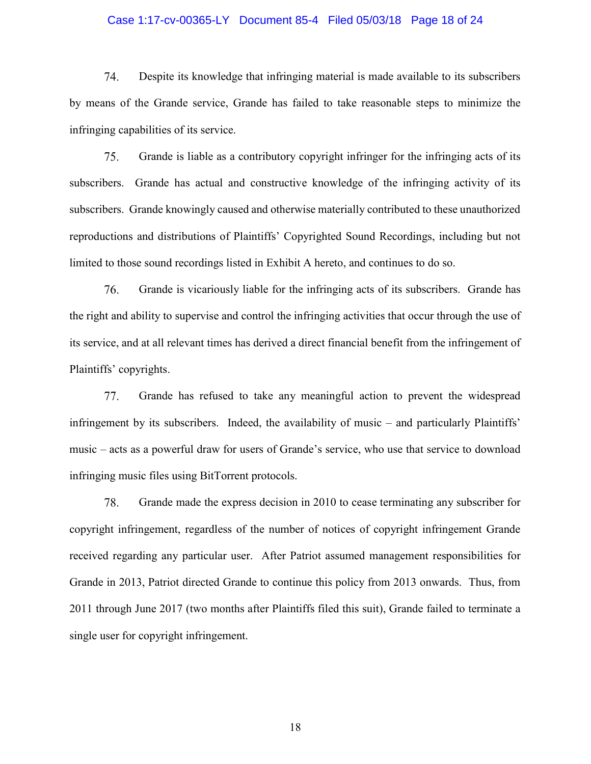#### Case 1:17-cv-00365-LY Document 85-4 Filed 05/03/18 Page 18 of 24

74. Despite its knowledge that infringing material is made available to its subscribers by means of the Grande service, Grande has failed to take reasonable steps to minimize the infringing capabilities of its service.

75. Grande is liable as a contributory copyright infringer for the infringing acts of its subscribers. Grande has actual and constructive knowledge of the infringing activity of its subscribers. Grande knowingly caused and otherwise materially contributed to these unauthorized reproductions and distributions of Plaintiffs' Copyrighted Sound Recordings, including but not limited to those sound recordings listed in Exhibit A hereto, and continues to do so.

76. Grande is vicariously liable for the infringing acts of its subscribers. Grande has the right and ability to supervise and control the infringing activities that occur through the use of its service, and at all relevant times has derived a direct financial benefit from the infringement of Plaintiffs' copyrights.

Grande has refused to take any meaningful action to prevent the widespread 77. infringement by its subscribers. Indeed, the availability of music – and particularly Plaintiffs' music – acts as a powerful draw for users of Grande's service, who use that service to download infringing music files using BitTorrent protocols.

78. Grande made the express decision in 2010 to cease terminating any subscriber for copyright infringement, regardless of the number of notices of copyright infringement Grande received regarding any particular user. After Patriot assumed management responsibilities for Grande in 2013, Patriot directed Grande to continue this policy from 2013 onwards. Thus, from 2011 through June 2017 (two months after Plaintiffs filed this suit), Grande failed to terminate a single user for copyright infringement.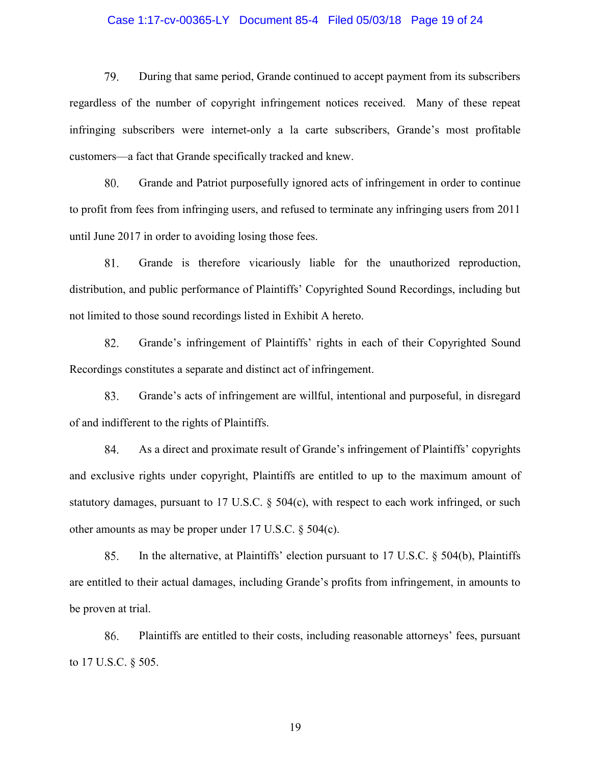#### Case 1:17-cv-00365-LY Document 85-4 Filed 05/03/18 Page 19 of 24

79. During that same period, Grande continued to accept payment from its subscribers regardless of the number of copyright infringement notices received. Many of these repeat infringing subscribers were internet-only a la carte subscribers, Grande's most profitable customers—a fact that Grande specifically tracked and knew.

80. Grande and Patriot purposefully ignored acts of infringement in order to continue to profit from fees from infringing users, and refused to terminate any infringing users from 2011 until June 2017 in order to avoiding losing those fees.

Grande is therefore vicariously liable for the unauthorized reproduction, 81. distribution, and public performance of Plaintiffs' Copyrighted Sound Recordings, including but not limited to those sound recordings listed in Exhibit A hereto.

82. Grande's infringement of Plaintiffs' rights in each of their Copyrighted Sound Recordings constitutes a separate and distinct act of infringement.

83. Grande's acts of infringement are willful, intentional and purposeful, in disregard of and indifferent to the rights of Plaintiffs.

84. As a direct and proximate result of Grande's infringement of Plaintiffs' copyrights and exclusive rights under copyright, Plaintiffs are entitled to up to the maximum amount of statutory damages, pursuant to 17 U.S.C. § 504(c), with respect to each work infringed, or such other amounts as may be proper under 17 U.S.C. § 504(c).

85. In the alternative, at Plaintiffs' election pursuant to 17 U.S.C. § 504(b), Plaintiffs are entitled to their actual damages, including Grande's profits from infringement, in amounts to be proven at trial.

86. Plaintiffs are entitled to their costs, including reasonable attorneys' fees, pursuant to 17 U.S.C. § 505.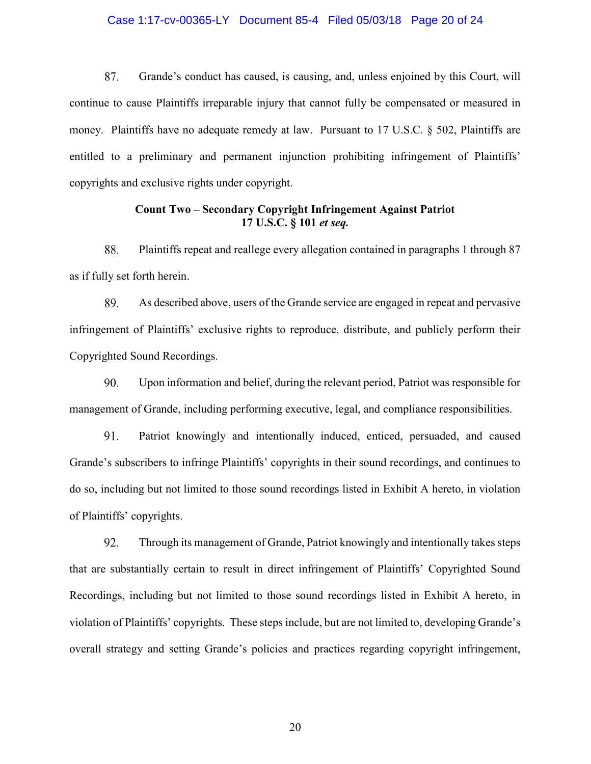#### Case 1:17-cv-00365-LY Document 85-4 Filed 05/03/18 Page 20 of 24

87. Grande's conduct has caused, is causing, and, unless enjoined by this Court, will continue to cause Plaintiffs irreparable injury that cannot fully be compensated or measured in money. Plaintiffs have no adequate remedy at law. Pursuant to 17 U.S.C. § 502, Plaintiffs are entitled to a preliminary and permanent injunction prohibiting infringement of Plaintiffs' copyrights and exclusive rights under copyright.

## Count Two – Secondary Copyright Infringement Against Patriot 17 U.S.C. § 101 et seq.

88. Plaintiffs repeat and reallege every allegation contained in paragraphs 1 through 87 as if fully set forth herein.

89. As described above, users of the Grande service are engaged in repeat and pervasive infringement of Plaintiffs' exclusive rights to reproduce, distribute, and publicly perform their Copyrighted Sound Recordings.

90. Upon information and belief, during the relevant period, Patriot was responsible for management of Grande, including performing executive, legal, and compliance responsibilities.

91. Patriot knowingly and intentionally induced, enticed, persuaded, and caused Grande's subscribers to infringe Plaintiffs' copyrights in their sound recordings, and continues to do so, including but not limited to those sound recordings listed in Exhibit A hereto, in violation of Plaintiffs' copyrights.

92. Through its management of Grande, Patriot knowingly and intentionally takes steps that are substantially certain to result in direct infringement of Plaintiffs' Copyrighted Sound Recordings, including but not limited to those sound recordings listed in Exhibit A hereto, in violation of Plaintiffs' copyrights. These steps include, but are not limited to, developing Grande's overall strategy and setting Grande's policies and practices regarding copyright infringement,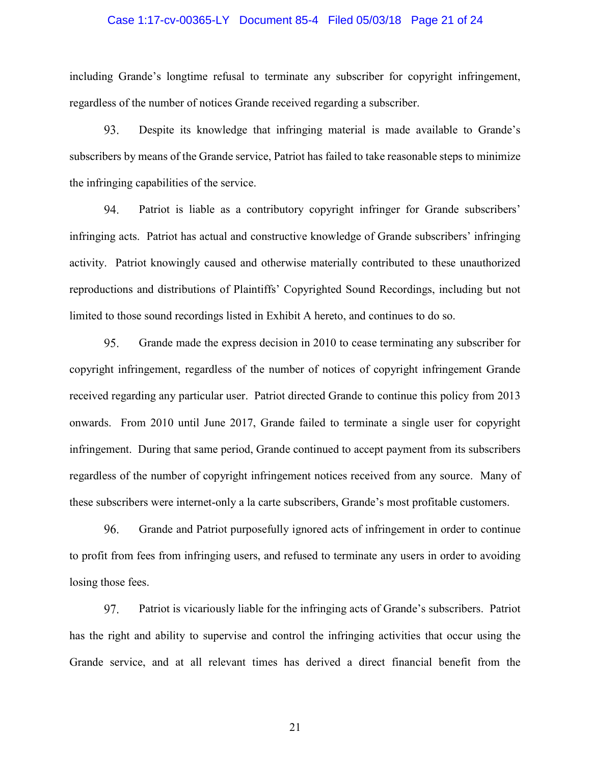#### Case 1:17-cv-00365-LY Document 85-4 Filed 05/03/18 Page 21 of 24

including Grande's longtime refusal to terminate any subscriber for copyright infringement, regardless of the number of notices Grande received regarding a subscriber.

93. Despite its knowledge that infringing material is made available to Grande's subscribers by means of the Grande service, Patriot has failed to take reasonable steps to minimize the infringing capabilities of the service.

94. Patriot is liable as a contributory copyright infringer for Grande subscribers' infringing acts. Patriot has actual and constructive knowledge of Grande subscribers' infringing activity. Patriot knowingly caused and otherwise materially contributed to these unauthorized reproductions and distributions of Plaintiffs' Copyrighted Sound Recordings, including but not limited to those sound recordings listed in Exhibit A hereto, and continues to do so.

95. Grande made the express decision in 2010 to cease terminating any subscriber for copyright infringement, regardless of the number of notices of copyright infringement Grande received regarding any particular user. Patriot directed Grande to continue this policy from 2013 onwards. From 2010 until June 2017, Grande failed to terminate a single user for copyright infringement. During that same period, Grande continued to accept payment from its subscribers regardless of the number of copyright infringement notices received from any source. Many of these subscribers were internet-only a la carte subscribers, Grande's most profitable customers.

96. Grande and Patriot purposefully ignored acts of infringement in order to continue to profit from fees from infringing users, and refused to terminate any users in order to avoiding losing those fees.

97. Patriot is vicariously liable for the infringing acts of Grande's subscribers. Patriot has the right and ability to supervise and control the infringing activities that occur using the Grande service, and at all relevant times has derived a direct financial benefit from the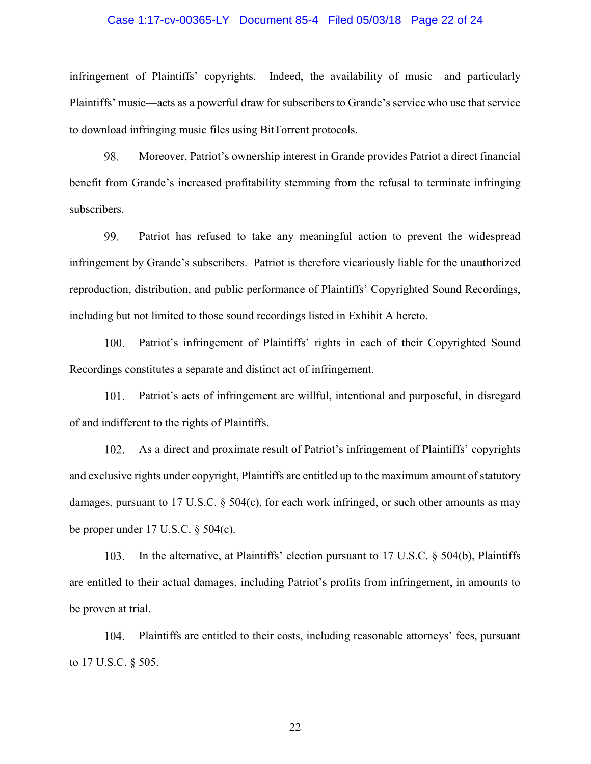#### Case 1:17-cv-00365-LY Document 85-4 Filed 05/03/18 Page 22 of 24

infringement of Plaintiffs' copyrights. Indeed, the availability of music—and particularly Plaintiffs' music—acts as a powerful draw for subscribers to Grande's service who use that service to download infringing music files using BitTorrent protocols.

98. Moreover, Patriot's ownership interest in Grande provides Patriot a direct financial benefit from Grande's increased profitability stemming from the refusal to terminate infringing subscribers.

99. Patriot has refused to take any meaningful action to prevent the widespread infringement by Grande's subscribers. Patriot is therefore vicariously liable for the unauthorized reproduction, distribution, and public performance of Plaintiffs' Copyrighted Sound Recordings, including but not limited to those sound recordings listed in Exhibit A hereto.

100. Patriot's infringement of Plaintiffs' rights in each of their Copyrighted Sound Recordings constitutes a separate and distinct act of infringement.

Patriot's acts of infringement are willful, intentional and purposeful, in disregard 101. of and indifferent to the rights of Plaintiffs.

102. As a direct and proximate result of Patriot's infringement of Plaintiffs' copyrights and exclusive rights under copyright, Plaintiffs are entitled up to the maximum amount of statutory damages, pursuant to 17 U.S.C. § 504(c), for each work infringed, or such other amounts as may be proper under 17 U.S.C. § 504(c).

In the alternative, at Plaintiffs' election pursuant to 17 U.S.C. § 504(b), Plaintiffs 103. are entitled to their actual damages, including Patriot's profits from infringement, in amounts to be proven at trial.

104. Plaintiffs are entitled to their costs, including reasonable attorneys' fees, pursuant to 17 U.S.C. § 505.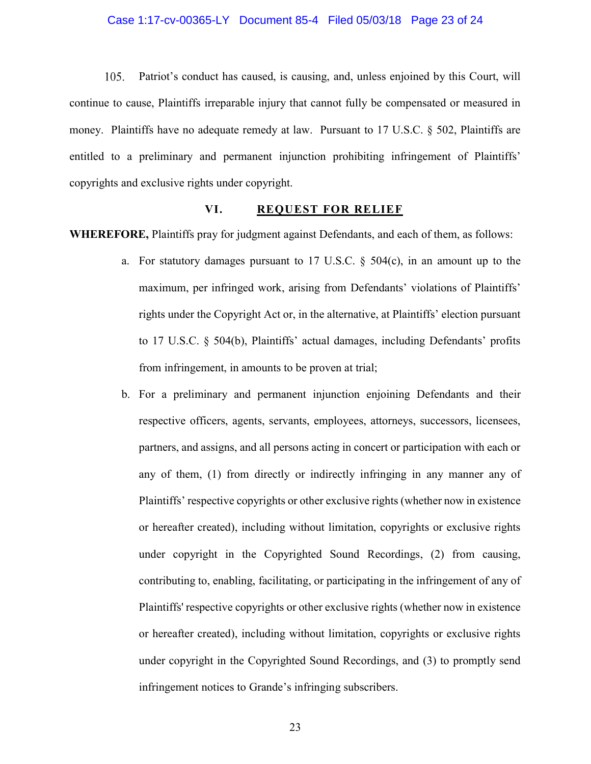#### Case 1:17-cv-00365-LY Document 85-4 Filed 05/03/18 Page 23 of 24

 $105.$ Patriot's conduct has caused, is causing, and, unless enjoined by this Court, will continue to cause, Plaintiffs irreparable injury that cannot fully be compensated or measured in money. Plaintiffs have no adequate remedy at law. Pursuant to 17 U.S.C. § 502, Plaintiffs are entitled to a preliminary and permanent injunction prohibiting infringement of Plaintiffs' copyrights and exclusive rights under copyright.

#### VI. REQUEST FOR RELIEF

WHEREFORE, Plaintiffs pray for judgment against Defendants, and each of them, as follows:

- a. For statutory damages pursuant to 17 U.S.C.  $\S$  504(c), in an amount up to the maximum, per infringed work, arising from Defendants' violations of Plaintiffs' rights under the Copyright Act or, in the alternative, at Plaintiffs' election pursuant to 17 U.S.C. § 504(b), Plaintiffs' actual damages, including Defendants' profits from infringement, in amounts to be proven at trial;
- b. For a preliminary and permanent injunction enjoining Defendants and their respective officers, agents, servants, employees, attorneys, successors, licensees, partners, and assigns, and all persons acting in concert or participation with each or any of them, (1) from directly or indirectly infringing in any manner any of Plaintiffs' respective copyrights or other exclusive rights (whether now in existence or hereafter created), including without limitation, copyrights or exclusive rights under copyright in the Copyrighted Sound Recordings, (2) from causing, contributing to, enabling, facilitating, or participating in the infringement of any of Plaintiffs' respective copyrights or other exclusive rights (whether now in existence or hereafter created), including without limitation, copyrights or exclusive rights under copyright in the Copyrighted Sound Recordings, and (3) to promptly send infringement notices to Grande's infringing subscribers.